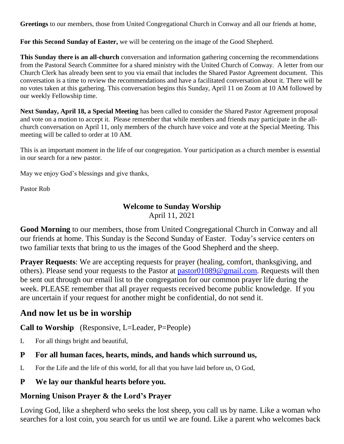**Greetings** to our members, those from United Congregational Church in Conway and all our friends at home,

**For this Second Sunday of Easter,** we will be centering on the image of the Good Shepherd.

**This Sunday there is an all-church** conversation and information gathering concerning the recommendations from the Pastoral Search Committee for a shared ministry with the United Church of Conway. A letter from our Church Clerk has already been sent to you via email that includes the Shared Pastor Agreement document. This conversation is a time to review the recommendations and have a facilitated conversation about it. There will be no votes taken at this gathering. This conversation begins this Sunday, April 11 on Zoom at 10 AM followed by our weekly Fellowship time.

**Next Sunday, April 18, a Special Meeting** has been called to consider the Shared Pastor Agreement proposal and vote on a motion to accept it. Please remember that while members and friends may participate in the allchurch conversation on April 11, only members of the church have voice and vote at the Special Meeting. This meeting will be called to order at 10 AM.

This is an important moment in the life of our congregation. Your participation as a church member is essential in our search for a new pastor.

May we enjoy God's blessings and give thanks,

Pastor Rob

# **Welcome to Sunday Worship**

April 11, 2021

**Good Morning** to our members, those from United Congregational Church in Conway and all our friends at home. This Sunday is the Second Sunday of Easter. Today's service centers on two familiar texts that bring to us the images of the Good Shepherd and the sheep.

**Prayer Requests:** We are accepting requests for prayer (healing, comfort, thanksgiving, and others). Please send your requests to the Pastor at [pastor01089@gmail.com.](mailto:pastor01089@gmail.com) Requests will then be sent out through our email list to the congregation for our common prayer life during the week. PLEASE remember that all prayer requests received become public knowledge. If you are uncertain if your request for another might be confidential, do not send it.

# **And now let us be in worship**

**Call to Worship** (Responsive, L=Leader, P=People)

L For all things bright and beautiful,

#### **P For all human faces, hearts, minds, and hands which surround us,**

- L For the Life and the life of this world, for all that you have laid before us, O God,
- **P We lay our thankful hearts before you.**

### **Morning Unison Prayer & the Lord's Prayer**

Loving God, like a shepherd who seeks the lost sheep, you call us by name. Like a woman who searches for a lost coin, you search for us until we are found. Like a parent who welcomes back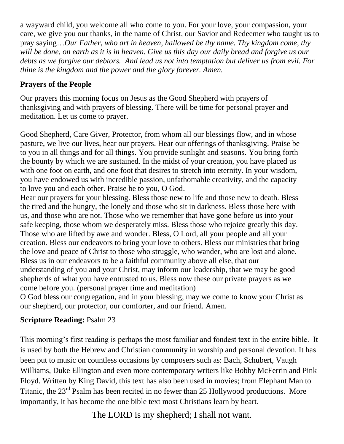a wayward child, you welcome all who come to you. For your love, your compassion, your care, we give you our thanks, in the name of Christ, our Savior and Redeemer who taught us to pray saying…*Our Father, who art in heaven, hallowed be thy name. Thy kingdom come, thy will be done, on earth as it is in heaven. Give us this day our daily bread and forgive us our debts as we forgive our debtors. And lead us not into temptation but deliver us from evil. For thine is the kingdom and the power and the glory forever. Amen.*

### **Prayers of the People**

Our prayers this morning focus on Jesus as the Good Shepherd with prayers of thanksgiving and with prayers of blessing. There will be time for personal prayer and meditation. Let us come to prayer.

Good Shepherd, Care Giver, Protector, from whom all our blessings flow, and in whose pasture, we live our lives, hear our prayers. Hear our offerings of thanksgiving. Praise be to you in all things and for all things. You provide sunlight and seasons. You bring forth the bounty by which we are sustained. In the midst of your creation, you have placed us with one foot on earth, and one foot that desires to stretch into eternity. In your wisdom, you have endowed us with incredible passion, unfathomable creativity, and the capacity to love you and each other. Praise be to you, O God.

Hear our prayers for your blessing. Bless those new to life and those new to death. Bless the tired and the hungry, the lonely and those who sit in darkness. Bless those here with us, and those who are not. Those who we remember that have gone before us into your safe keeping, those whom we desperately miss. Bless those who rejoice greatly this day. Those who are lifted by awe and wonder. Bless, O Lord, all your people and all your creation. Bless our endeavors to bring your love to others. Bless our ministries that bring the love and peace of Christ to those who struggle, who wander, who are lost and alone. Bless us in our endeavors to be a faithful community above all else, that our understanding of you and your Christ, may inform our leadership, that we may be good shepherds of what you have entrusted to us. Bless now these our private prayers as we come before you. (personal prayer time and meditation)

O God bless our congregation, and in your blessing, may we come to know your Christ as our shepherd, our protector, our comforter, and our friend. Amen.

# **Scripture Reading:** Psalm 23

This morning's first reading is perhaps the most familiar and fondest text in the entire bible. It is used by both the Hebrew and Christian community in worship and personal devotion. It has been put to music on countless occasions by composers such as: Bach, Schubert, Vaugh Williams, Duke Ellington and even more contemporary writers like Bobby McFerrin and Pink Floyd. Written by King David, this text has also been used in movies; from Elephant Man to Titanic, the 23<sup>rd</sup> Psalm has been recited in no fewer than 25 Hollywood productions. More importantly, it has become the one bible text most Christians learn by heart.

The LORD is my shepherd; I shall not want.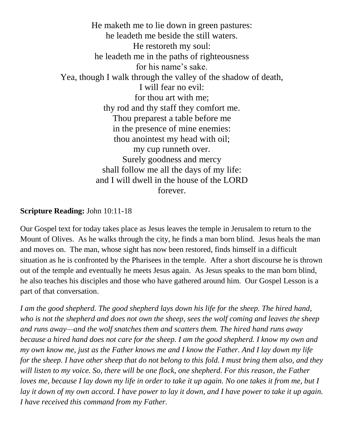He maketh me to lie down in green pastures: he leadeth me beside the still waters. He restoreth my soul: he leadeth me in the paths of righteousness for his name's sake. Yea, though I walk through the valley of the shadow of death, I will fear no evil: for thou art with me; thy rod and thy staff they comfort me. Thou preparest a table before me in the presence of mine enemies: thou anointest my head with oil; my cup runneth over. Surely goodness and mercy shall follow me all the days of my life: and I will dwell in the house of the LORD forever.

#### **Scripture Reading:** John 10:11-18

Our Gospel text for today takes place as Jesus leaves the temple in Jerusalem to return to the Mount of Olives. As he walks through the city, he finds a man born blind. Jesus heals the man and moves on. The man, whose sight has now been restored, finds himself in a difficult situation as he is confronted by the Pharisees in the temple. After a short discourse he is thrown out of the temple and eventually he meets Jesus again. As Jesus speaks to the man born blind, he also teaches his disciples and those who have gathered around him. Our Gospel Lesson is a part of that conversation.

*I am the good shepherd. The good shepherd lays down his life for the sheep. The hired hand, who is not the shepherd and does not own the sheep, sees the wolf coming and leaves the sheep and runs away—and the wolf snatches them and scatters them. The hired hand runs away because a hired hand does not care for the sheep. I am the good shepherd. I know my own and my own know me, just as the Father knows me and I know the Father. And I lay down my life for the sheep. I have other sheep that do not belong to this fold. I must bring them also, and they will listen to my voice. So, there will be one flock, one shepherd. For this reason, the Father loves me, because I lay down my life in order to take it up again. No one takes it from me, but I lay it down of my own accord. I have power to lay it down, and I have power to take it up again. I have received this command from my Father.*